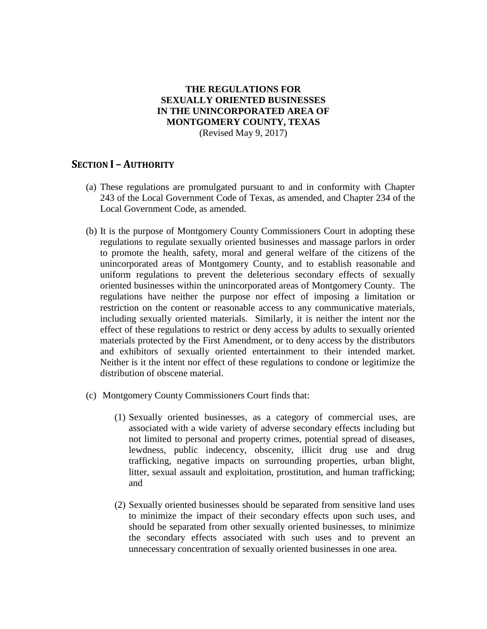#### **THE REGULATIONS FOR SEXUALLY ORIENTED BUSINESSES IN THE UNINCORPORATED AREA OF MONTGOMERY COUNTY, TEXAS** (Revised May 9, 2017)

### **SECTION I – AUTHORITY**

- (a) These regulations are promulgated pursuant to and in conformity with Chapter 243 of the Local Government Code of Texas, as amended, and Chapter 234 of the Local Government Code, as amended.
- (b) It is the purpose of Montgomery County Commissioners Court in adopting these regulations to regulate sexually oriented businesses and massage parlors in order to promote the health, safety, moral and general welfare of the citizens of the unincorporated areas of Montgomery County, and to establish reasonable and uniform regulations to prevent the deleterious secondary effects of sexually oriented businesses within the unincorporated areas of Montgomery County. The regulations have neither the purpose nor effect of imposing a limitation or restriction on the content or reasonable access to any communicative materials, including sexually oriented materials. Similarly, it is neither the intent nor the effect of these regulations to restrict or deny access by adults to sexually oriented materials protected by the First Amendment, or to deny access by the distributors and exhibitors of sexually oriented entertainment to their intended market. Neither is it the intent nor effect of these regulations to condone or legitimize the distribution of obscene material.
- (c) Montgomery County Commissioners Court finds that:
	- (1) Sexually oriented businesses, as a category of commercial uses, are associated with a wide variety of adverse secondary effects including but not limited to personal and property crimes, potential spread of diseases, lewdness, public indecency, obscenity, illicit drug use and drug trafficking, negative impacts on surrounding properties, urban blight, litter, sexual assault and exploitation, prostitution, and human trafficking; and
	- (2) Sexually oriented businesses should be separated from sensitive land uses to minimize the impact of their secondary effects upon such uses, and should be separated from other sexually oriented businesses, to minimize the secondary effects associated with such uses and to prevent an unnecessary concentration of sexually oriented businesses in one area.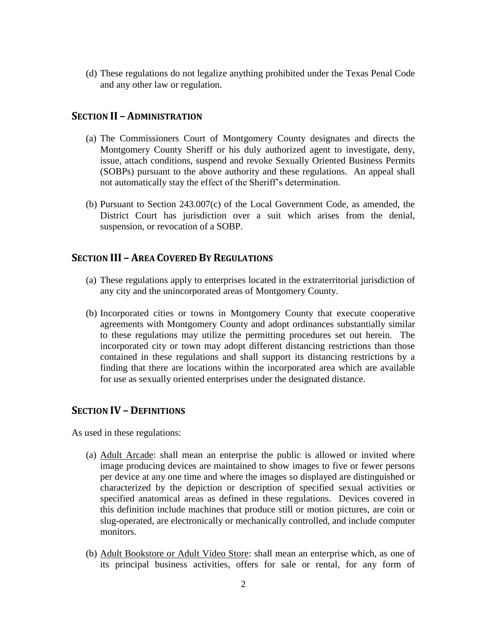(d) These regulations do not legalize anything prohibited under the Texas Penal Code and any other law or regulation.

#### **SECTION II – ADMINISTRATION**

- (a) The Commissioners Court of Montgomery County designates and directs the Montgomery County Sheriff or his duly authorized agent to investigate, deny, issue, attach conditions, suspend and revoke Sexually Oriented Business Permits (SOBPs) pursuant to the above authority and these regulations. An appeal shall not automatically stay the effect of the Sheriff's determination.
- (b) Pursuant to Section 243.007(c) of the Local Government Code, as amended, the District Court has jurisdiction over a suit which arises from the denial, suspension, or revocation of a SOBP.

### **SECTION III – AREA COVERED BY REGULATIONS**

- (a) These regulations apply to enterprises located in the extraterritorial jurisdiction of any city and the unincorporated areas of Montgomery County.
- (b) Incorporated cities or towns in Montgomery County that execute cooperative agreements with Montgomery County and adopt ordinances substantially similar to these regulations may utilize the permitting procedures set out herein. The incorporated city or town may adopt different distancing restrictions than those contained in these regulations and shall support its distancing restrictions by a finding that there are locations within the incorporated area which are available for use as sexually oriented enterprises under the designated distance.

#### **SECTION IV – DEFINITIONS**

As used in these regulations:

- (a) Adult Arcade: shall mean an enterprise the public is allowed or invited where image producing devices are maintained to show images to five or fewer persons per device at any one time and where the images so displayed are distinguished or characterized by the depiction or description of specified sexual activities or specified anatomical areas as defined in these regulations. Devices covered in this definition include machines that produce still or motion pictures, are coin or slug-operated, are electronically or mechanically controlled, and include computer monitors.
- (b) Adult Bookstore or Adult Video Store: shall mean an enterprise which, as one of its principal business activities, offers for sale or rental, for any form of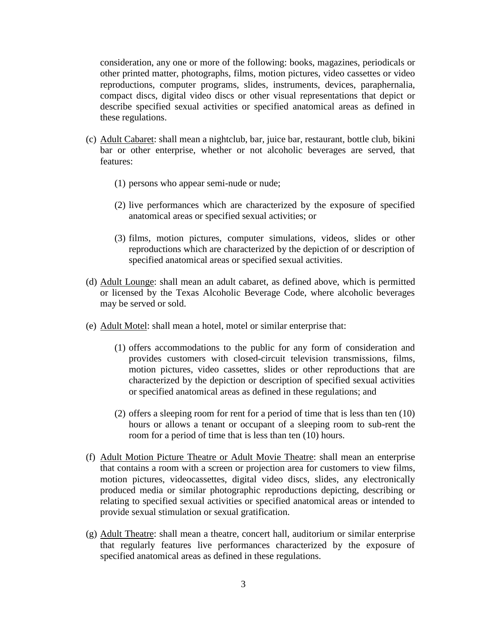consideration, any one or more of the following: books, magazines, periodicals or other printed matter, photographs, films, motion pictures, video cassettes or video reproductions, computer programs, slides, instruments, devices, paraphernalia, compact discs, digital video discs or other visual representations that depict or describe specified sexual activities or specified anatomical areas as defined in these regulations.

- (c) Adult Cabaret: shall mean a nightclub, bar, juice bar, restaurant, bottle club, bikini bar or other enterprise, whether or not alcoholic beverages are served, that features:
	- (1) persons who appear semi-nude or nude;
	- (2) live performances which are characterized by the exposure of specified anatomical areas or specified sexual activities; or
	- (3) films, motion pictures, computer simulations, videos, slides or other reproductions which are characterized by the depiction of or description of specified anatomical areas or specified sexual activities.
- (d) Adult Lounge: shall mean an adult cabaret, as defined above, which is permitted or licensed by the Texas Alcoholic Beverage Code, where alcoholic beverages may be served or sold.
- (e) Adult Motel: shall mean a hotel, motel or similar enterprise that:
	- (1) offers accommodations to the public for any form of consideration and provides customers with closed-circuit television transmissions, films, motion pictures, video cassettes, slides or other reproductions that are characterized by the depiction or description of specified sexual activities or specified anatomical areas as defined in these regulations; and
	- (2) offers a sleeping room for rent for a period of time that is less than ten (10) hours or allows a tenant or occupant of a sleeping room to sub-rent the room for a period of time that is less than ten (10) hours.
- (f) Adult Motion Picture Theatre or Adult Movie Theatre: shall mean an enterprise that contains a room with a screen or projection area for customers to view films, motion pictures, videocassettes, digital video discs, slides, any electronically produced media or similar photographic reproductions depicting, describing or relating to specified sexual activities or specified anatomical areas or intended to provide sexual stimulation or sexual gratification.
- (g) Adult Theatre: shall mean a theatre, concert hall, auditorium or similar enterprise that regularly features live performances characterized by the exposure of specified anatomical areas as defined in these regulations.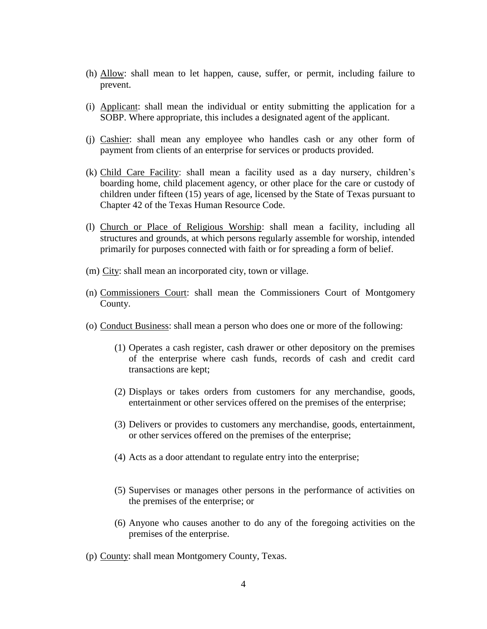- (h) Allow: shall mean to let happen, cause, suffer, or permit, including failure to prevent.
- (i) Applicant: shall mean the individual or entity submitting the application for a SOBP. Where appropriate, this includes a designated agent of the applicant.
- (j) Cashier: shall mean any employee who handles cash or any other form of payment from clients of an enterprise for services or products provided.
- (k) Child Care Facility: shall mean a facility used as a day nursery, children's boarding home, child placement agency, or other place for the care or custody of children under fifteen (15) years of age, licensed by the State of Texas pursuant to Chapter 42 of the Texas Human Resource Code.
- (l) Church or Place of Religious Worship: shall mean a facility, including all structures and grounds, at which persons regularly assemble for worship, intended primarily for purposes connected with faith or for spreading a form of belief.
- (m) City: shall mean an incorporated city, town or village.
- (n) Commissioners Court: shall mean the Commissioners Court of Montgomery County.
- (o) Conduct Business: shall mean a person who does one or more of the following:
	- (1) Operates a cash register, cash drawer or other depository on the premises of the enterprise where cash funds, records of cash and credit card transactions are kept;
	- (2) Displays or takes orders from customers for any merchandise, goods, entertainment or other services offered on the premises of the enterprise;
	- (3) Delivers or provides to customers any merchandise, goods, entertainment, or other services offered on the premises of the enterprise;
	- (4) Acts as a door attendant to regulate entry into the enterprise;
	- (5) Supervises or manages other persons in the performance of activities on the premises of the enterprise; or
	- (6) Anyone who causes another to do any of the foregoing activities on the premises of the enterprise.
- (p) County: shall mean Montgomery County, Texas.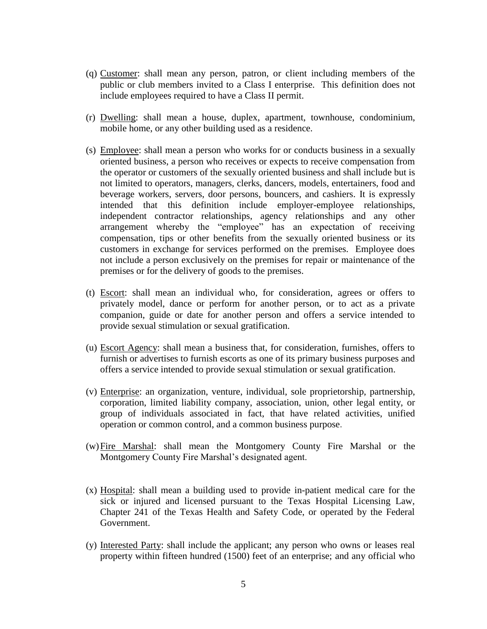- (q) Customer: shall mean any person, patron, or client including members of the public or club members invited to a Class I enterprise. This definition does not include employees required to have a Class II permit.
- (r) Dwelling: shall mean a house, duplex, apartment, townhouse, condominium, mobile home, or any other building used as a residence.
- (s) Employee: shall mean a person who works for or conducts business in a sexually oriented business, a person who receives or expects to receive compensation from the operator or customers of the sexually oriented business and shall include but is not limited to operators, managers, clerks, dancers, models, entertainers, food and beverage workers, servers, door persons, bouncers, and cashiers. It is expressly intended that this definition include employer-employee relationships, independent contractor relationships, agency relationships and any other arrangement whereby the "employee" has an expectation of receiving compensation, tips or other benefits from the sexually oriented business or its customers in exchange for services performed on the premises. Employee does not include a person exclusively on the premises for repair or maintenance of the premises or for the delivery of goods to the premises.
- (t) Escort: shall mean an individual who, for consideration, agrees or offers to privately model, dance or perform for another person, or to act as a private companion, guide or date for another person and offers a service intended to provide sexual stimulation or sexual gratification.
- (u) Escort Agency: shall mean a business that, for consideration, furnishes, offers to furnish or advertises to furnish escorts as one of its primary business purposes and offers a service intended to provide sexual stimulation or sexual gratification.
- (v) Enterprise: an organization, venture, individual, sole proprietorship, partnership, corporation, limited liability company, association, union, other legal entity, or group of individuals associated in fact, that have related activities, unified operation or common control, and a common business purpose.
- (w)Fire Marshal: shall mean the Montgomery County Fire Marshal or the Montgomery County Fire Marshal's designated agent.
- (x) Hospital: shall mean a building used to provide in-patient medical care for the sick or injured and licensed pursuant to the Texas Hospital Licensing Law, Chapter 241 of the Texas Health and Safety Code, or operated by the Federal Government.
- (y) Interested Party: shall include the applicant; any person who owns or leases real property within fifteen hundred (1500) feet of an enterprise; and any official who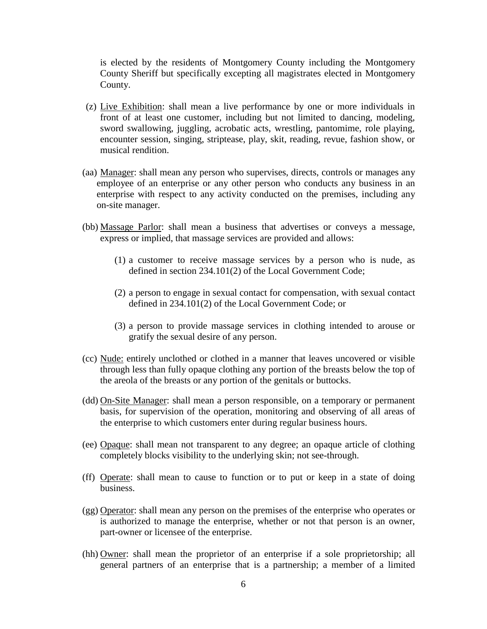is elected by the residents of Montgomery County including the Montgomery County Sheriff but specifically excepting all magistrates elected in Montgomery County.

- (z) Live Exhibition: shall mean a live performance by one or more individuals in front of at least one customer, including but not limited to dancing, modeling, sword swallowing, juggling, acrobatic acts, wrestling, pantomime, role playing, encounter session, singing, striptease, play, skit, reading, revue, fashion show, or musical rendition.
- (aa) Manager: shall mean any person who supervises, directs, controls or manages any employee of an enterprise or any other person who conducts any business in an enterprise with respect to any activity conducted on the premises, including any on-site manager.
- (bb) Massage Parlor: shall mean a business that advertises or conveys a message, express or implied, that massage services are provided and allows:
	- (1) a customer to receive massage services by a person who is nude, as defined in section 234.101(2) of the Local Government Code;
	- (2) a person to engage in sexual contact for compensation, with sexual contact defined in 234.101(2) of the Local Government Code; or
	- (3) a person to provide massage services in clothing intended to arouse or gratify the sexual desire of any person.
- (cc) Nude: entirely unclothed or clothed in a manner that leaves uncovered or visible through less than fully opaque clothing any portion of the breasts below the top of the areola of the breasts or any portion of the genitals or buttocks.
- (dd) On-Site Manager: shall mean a person responsible, on a temporary or permanent basis, for supervision of the operation, monitoring and observing of all areas of the enterprise to which customers enter during regular business hours.
- (ee) Opaque: shall mean not transparent to any degree; an opaque article of clothing completely blocks visibility to the underlying skin; not see-through.
- (ff) Operate: shall mean to cause to function or to put or keep in a state of doing business.
- (gg) Operator: shall mean any person on the premises of the enterprise who operates or is authorized to manage the enterprise, whether or not that person is an owner, part-owner or licensee of the enterprise.
- (hh) Owner: shall mean the proprietor of an enterprise if a sole proprietorship; all general partners of an enterprise that is a partnership; a member of a limited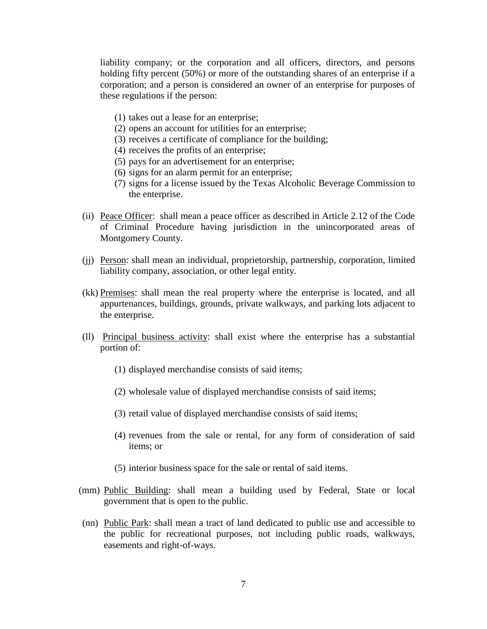liability company; or the corporation and all officers, directors, and persons holding fifty percent (50%) or more of the outstanding shares of an enterprise if a corporation; and a person is considered an owner of an enterprise for purposes of these regulations if the person:

- (1) takes out a lease for an enterprise;
- (2) opens an account for utilities for an enterprise;
- (3) receives a certificate of compliance for the building;
- (4) receives the profits of an enterprise;
- (5) pays for an advertisement for an enterprise;
- (6) signs for an alarm permit for an enterprise;
- (7) signs for a license issued by the Texas Alcoholic Beverage Commission to the enterprise.
- (ii) Peace Officer: shall mean a peace officer as described in Article 2.12 of the Code of Criminal Procedure having jurisdiction in the unincorporated areas of Montgomery County.
- (jj) Person: shall mean an individual, proprietorship, partnership, corporation, limited liability company, association, or other legal entity.
- (kk) Premises: shall mean the real property where the enterprise is located, and all appurtenances, buildings, grounds, private walkways, and parking lots adjacent to the enterprise.
- (ll) Principal business activity: shall exist where the enterprise has a substantial portion of:
	- (1) displayed merchandise consists of said items;
	- (2) wholesale value of displayed merchandise consists of said items;
	- (3) retail value of displayed merchandise consists of said items;
	- (4) revenues from the sale or rental, for any form of consideration of said items; or
	- (5) interior business space for the sale or rental of said items.
- (mm) Public Building: shall mean a building used by Federal, State or local government that is open to the public.
- (nn) Public Park: shall mean a tract of land dedicated to public use and accessible to the public for recreational purposes, not including public roads, walkways, easements and right-of-ways.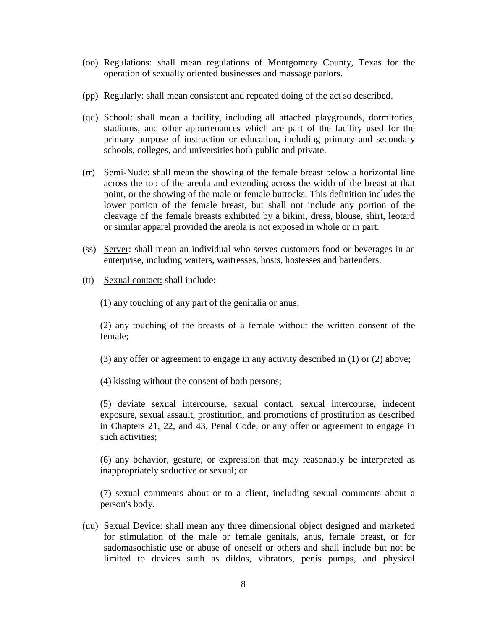- (oo) Regulations: shall mean regulations of Montgomery County, Texas for the operation of sexually oriented businesses and massage parlors.
- (pp) Regularly: shall mean consistent and repeated doing of the act so described.
- (qq) School: shall mean a facility, including all attached playgrounds, dormitories, stadiums, and other appurtenances which are part of the facility used for the primary purpose of instruction or education, including primary and secondary schools, colleges, and universities both public and private.
- (rr) Semi-Nude: shall mean the showing of the female breast below a horizontal line across the top of the areola and extending across the width of the breast at that point, or the showing of the male or female buttocks. This definition includes the lower portion of the female breast, but shall not include any portion of the cleavage of the female breasts exhibited by a bikini, dress, blouse, shirt, leotard or similar apparel provided the areola is not exposed in whole or in part.
- (ss) Server: shall mean an individual who serves customers food or beverages in an enterprise, including waiters, waitresses, hosts, hostesses and bartenders.
- (tt) Sexual contact: shall include:

(1) any touching of any part of the genitalia or anus;

(2) any touching of the breasts of a female without the written consent of the female;

(3) any offer or agreement to engage in any activity described in (1) or (2) above;

(4) kissing without the consent of both persons;

(5) deviate sexual intercourse, sexual contact, sexual intercourse, indecent exposure, sexual assault, prostitution, and promotions of prostitution as described in Chapters 21, 22, and 43, Penal Code, or any offer or agreement to engage in such activities;

(6) any behavior, gesture, or expression that may reasonably be interpreted as inappropriately seductive or sexual; or

(7) sexual comments about or to a client, including sexual comments about a person's body.

(uu) Sexual Device: shall mean any three dimensional object designed and marketed for stimulation of the male or female genitals, anus, female breast, or for sadomasochistic use or abuse of oneself or others and shall include but not be limited to devices such as dildos, vibrators, penis pumps, and physical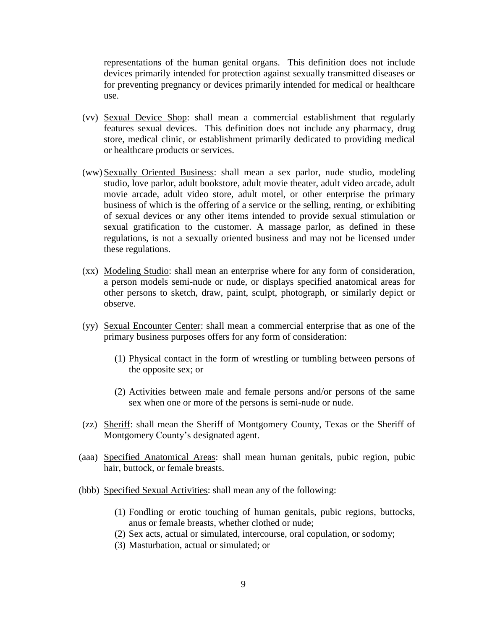representations of the human genital organs. This definition does not include devices primarily intended for protection against sexually transmitted diseases or for preventing pregnancy or devices primarily intended for medical or healthcare use.

- (vv) Sexual Device Shop: shall mean a commercial establishment that regularly features sexual devices. This definition does not include any pharmacy, drug store, medical clinic, or establishment primarily dedicated to providing medical or healthcare products or services.
- (ww) Sexually Oriented Business: shall mean a sex parlor, nude studio, modeling studio, love parlor, adult bookstore, adult movie theater, adult video arcade, adult movie arcade, adult video store, adult motel, or other enterprise the primary business of which is the offering of a service or the selling, renting, or exhibiting of sexual devices or any other items intended to provide sexual stimulation or sexual gratification to the customer. A massage parlor, as defined in these regulations, is not a sexually oriented business and may not be licensed under these regulations.
- (xx) Modeling Studio: shall mean an enterprise where for any form of consideration, a person models semi-nude or nude, or displays specified anatomical areas for other persons to sketch, draw, paint, sculpt, photograph, or similarly depict or observe.
- (yy) Sexual Encounter Center: shall mean a commercial enterprise that as one of the primary business purposes offers for any form of consideration:
	- (1) Physical contact in the form of wrestling or tumbling between persons of the opposite sex; or
	- (2) Activities between male and female persons and/or persons of the same sex when one or more of the persons is semi-nude or nude.
- (zz) Sheriff: shall mean the Sheriff of Montgomery County, Texas or the Sheriff of Montgomery County's designated agent.
- (aaa) Specified Anatomical Areas: shall mean human genitals, pubic region, pubic hair, buttock, or female breasts.
- (bbb) Specified Sexual Activities: shall mean any of the following:
	- (1) Fondling or erotic touching of human genitals, pubic regions, buttocks, anus or female breasts, whether clothed or nude;
	- (2) Sex acts, actual or simulated, intercourse, oral copulation, or sodomy;
	- (3) Masturbation, actual or simulated; or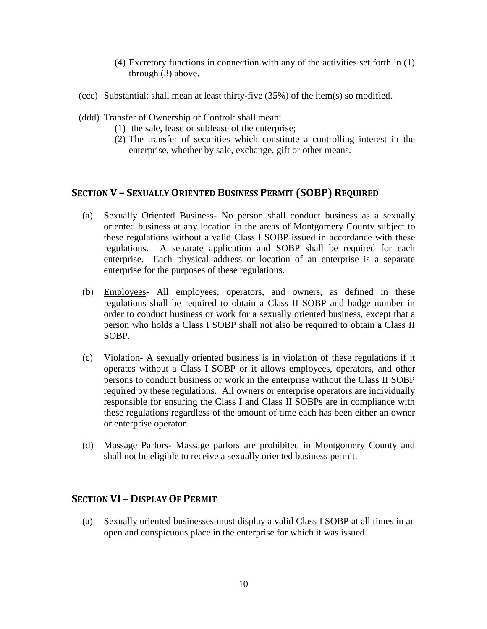- (4) Excretory functions in connection with any of the activities set forth in (1) through (3) above.
- (ccc) Substantial: shall mean at least thirty-five (35%) of the item(s) so modified.
- (ddd) Transfer of Ownership or Control: shall mean:
	- (1) the sale, lease or sublease of the enterprise;
	- (2) The transfer of securities which constitute a controlling interest in the enterprise, whether by sale, exchange, gift or other means.

## **SECTION V – SEXUALLY ORIENTED BUSINESS PERMIT (SOBP) REQUIRED**

- (a) Sexually Oriented Business- No person shall conduct business as a sexually oriented business at any location in the areas of Montgomery County subject to these regulations without a valid Class I SOBP issued in accordance with these regulations. A separate application and SOBP shall be required for each enterprise. Each physical address or location of an enterprise is a separate enterprise for the purposes of these regulations.
- (b) Employees- All employees, operators, and owners, as defined in these regulations shall be required to obtain a Class II SOBP and badge number in order to conduct business or work for a sexually oriented business, except that a person who holds a Class I SOBP shall not also be required to obtain a Class II SOBP.
- (c) Violation- A sexually oriented business is in violation of these regulations if it operates without a Class I SOBP or it allows employees, operators, and other persons to conduct business or work in the enterprise without the Class II SOBP required by these regulations. All owners or enterprise operators are individually responsible for ensuring the Class I and Class II SOBPs are in compliance with these regulations regardless of the amount of time each has been either an owner or enterprise operator.
- (d) Massage Parlors- Massage parlors are prohibited in Montgomery County and shall not be eligible to receive a sexually oriented business permit.

### **SECTION VI – DISPLAY OF PERMIT**

(a) Sexually oriented businesses must display a valid Class I SOBP at all times in an open and conspicuous place in the enterprise for which it was issued.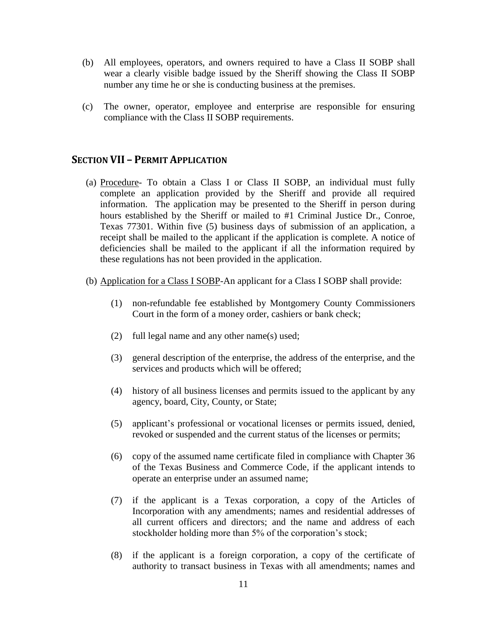- (b) All employees, operators, and owners required to have a Class II SOBP shall wear a clearly visible badge issued by the Sheriff showing the Class II SOBP number any time he or she is conducting business at the premises.
- (c) The owner, operator, employee and enterprise are responsible for ensuring compliance with the Class II SOBP requirements.

## **SECTION VII – PERMIT APPLICATION**

- (a) Procedure- To obtain a Class I or Class II SOBP, an individual must fully complete an application provided by the Sheriff and provide all required information. The application may be presented to the Sheriff in person during hours established by the Sheriff or mailed to #1 Criminal Justice Dr., Conroe, Texas 77301. Within five (5) business days of submission of an application, a receipt shall be mailed to the applicant if the application is complete. A notice of deficiencies shall be mailed to the applicant if all the information required by these regulations has not been provided in the application.
- (b) Application for a Class I SOBP-An applicant for a Class I SOBP shall provide:
	- (1) non-refundable fee established by Montgomery County Commissioners Court in the form of a money order, cashiers or bank check;
	- (2) full legal name and any other name(s) used;
	- (3) general description of the enterprise, the address of the enterprise, and the services and products which will be offered;
	- (4) history of all business licenses and permits issued to the applicant by any agency, board, City, County, or State;
	- (5) applicant's professional or vocational licenses or permits issued, denied, revoked or suspended and the current status of the licenses or permits;
	- (6) copy of the assumed name certificate filed in compliance with Chapter 36 of the Texas Business and Commerce Code, if the applicant intends to operate an enterprise under an assumed name;
	- (7) if the applicant is a Texas corporation, a copy of the Articles of Incorporation with any amendments; names and residential addresses of all current officers and directors; and the name and address of each stockholder holding more than 5% of the corporation's stock;
	- (8) if the applicant is a foreign corporation, a copy of the certificate of authority to transact business in Texas with all amendments; names and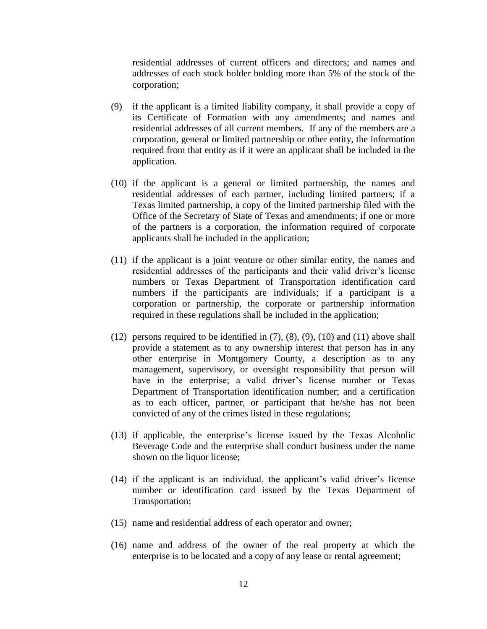residential addresses of current officers and directors; and names and addresses of each stock holder holding more than 5% of the stock of the corporation;

- (9) if the applicant is a limited liability company, it shall provide a copy of its Certificate of Formation with any amendments; and names and residential addresses of all current members. If any of the members are a corporation, general or limited partnership or other entity, the information required from that entity as if it were an applicant shall be included in the application.
- (10) if the applicant is a general or limited partnership, the names and residential addresses of each partner, including limited partners; if a Texas limited partnership, a copy of the limited partnership filed with the Office of the Secretary of State of Texas and amendments; if one or more of the partners is a corporation, the information required of corporate applicants shall be included in the application;
- (11) if the applicant is a joint venture or other similar entity, the names and residential addresses of the participants and their valid driver's license numbers or Texas Department of Transportation identification card numbers if the participants are individuals; if a participant is a corporation or partnership, the corporate or partnership information required in these regulations shall be included in the application;
- $(12)$  persons required to be identified in  $(7)$ ,  $(8)$ ,  $(9)$ ,  $(10)$  and  $(11)$  above shall provide a statement as to any ownership interest that person has in any other enterprise in Montgomery County, a description as to any management, supervisory, or oversight responsibility that person will have in the enterprise; a valid driver's license number or Texas Department of Transportation identification number; and a certification as to each officer, partner, or participant that he/she has not been convicted of any of the crimes listed in these regulations;
- (13) if applicable, the enterprise's license issued by the Texas Alcoholic Beverage Code and the enterprise shall conduct business under the name shown on the liquor license;
- (14) if the applicant is an individual, the applicant's valid driver's license number or identification card issued by the Texas Department of Transportation;
- (15) name and residential address of each operator and owner;
- (16) name and address of the owner of the real property at which the enterprise is to be located and a copy of any lease or rental agreement;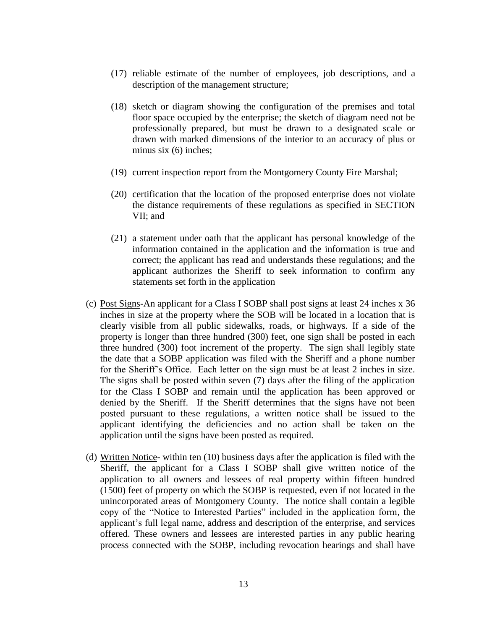- (17) reliable estimate of the number of employees, job descriptions, and a description of the management structure;
- (18) sketch or diagram showing the configuration of the premises and total floor space occupied by the enterprise; the sketch of diagram need not be professionally prepared, but must be drawn to a designated scale or drawn with marked dimensions of the interior to an accuracy of plus or minus six (6) inches;
- (19) current inspection report from the Montgomery County Fire Marshal;
- (20) certification that the location of the proposed enterprise does not violate the distance requirements of these regulations as specified in SECTION VII; and
- (21) a statement under oath that the applicant has personal knowledge of the information contained in the application and the information is true and correct; the applicant has read and understands these regulations; and the applicant authorizes the Sheriff to seek information to confirm any statements set forth in the application
- (c) Post Signs-An applicant for a Class I SOBP shall post signs at least 24 inches x 36 inches in size at the property where the SOB will be located in a location that is clearly visible from all public sidewalks, roads, or highways. If a side of the property is longer than three hundred (300) feet, one sign shall be posted in each three hundred (300) foot increment of the property. The sign shall legibly state the date that a SOBP application was filed with the Sheriff and a phone number for the Sheriff's Office. Each letter on the sign must be at least 2 inches in size. The signs shall be posted within seven (7) days after the filing of the application for the Class I SOBP and remain until the application has been approved or denied by the Sheriff. If the Sheriff determines that the signs have not been posted pursuant to these regulations, a written notice shall be issued to the applicant identifying the deficiencies and no action shall be taken on the application until the signs have been posted as required.
- (d) Written Notice- within ten (10) business days after the application is filed with the Sheriff, the applicant for a Class I SOBP shall give written notice of the application to all owners and lessees of real property within fifteen hundred (1500) feet of property on which the SOBP is requested, even if not located in the unincorporated areas of Montgomery County. The notice shall contain a legible copy of the "Notice to Interested Parties" included in the application form, the applicant's full legal name, address and description of the enterprise, and services offered. These owners and lessees are interested parties in any public hearing process connected with the SOBP, including revocation hearings and shall have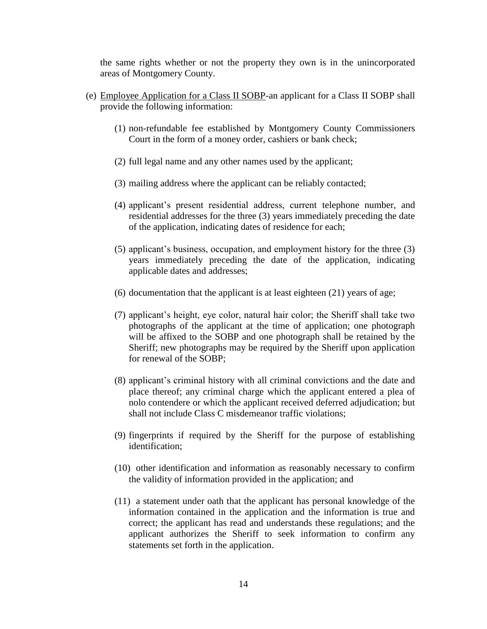the same rights whether or not the property they own is in the unincorporated areas of Montgomery County.

- (e) Employee Application for a Class II SOBP-an applicant for a Class II SOBP shall provide the following information:
	- (1) non-refundable fee established by Montgomery County Commissioners Court in the form of a money order, cashiers or bank check;
	- (2) full legal name and any other names used by the applicant;
	- (3) mailing address where the applicant can be reliably contacted;
	- (4) applicant's present residential address, current telephone number, and residential addresses for the three (3) years immediately preceding the date of the application, indicating dates of residence for each;
	- (5) applicant's business, occupation, and employment history for the three (3) years immediately preceding the date of the application, indicating applicable dates and addresses;
	- (6) documentation that the applicant is at least eighteen (21) years of age;
	- (7) applicant's height, eye color, natural hair color; the Sheriff shall take two photographs of the applicant at the time of application; one photograph will be affixed to the SOBP and one photograph shall be retained by the Sheriff; new photographs may be required by the Sheriff upon application for renewal of the SOBP;
	- (8) applicant's criminal history with all criminal convictions and the date and place thereof; any criminal charge which the applicant entered a plea of nolo contendere or which the applicant received deferred adjudication; but shall not include Class C misdemeanor traffic violations;
	- (9) fingerprints if required by the Sheriff for the purpose of establishing identification;
	- (10) other identification and information as reasonably necessary to confirm the validity of information provided in the application; and
	- (11) a statement under oath that the applicant has personal knowledge of the information contained in the application and the information is true and correct; the applicant has read and understands these regulations; and the applicant authorizes the Sheriff to seek information to confirm any statements set forth in the application.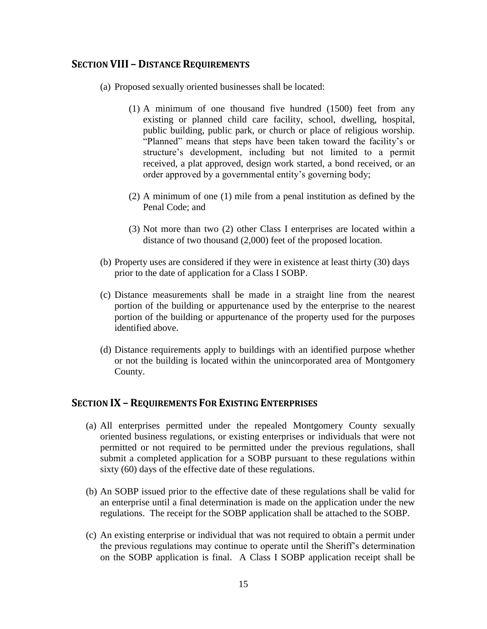### **SECTION VIII – DISTANCE REQUIREMENTS**

- (a) Proposed sexually oriented businesses shall be located:
	- (1) A minimum of one thousand five hundred (1500) feet from any existing or planned child care facility, school, dwelling, hospital, public building, public park, or church or place of religious worship. "Planned" means that steps have been taken toward the facility's or structure's development, including but not limited to a permit received, a plat approved, design work started, a bond received, or an order approved by a governmental entity's governing body;
	- (2) A minimum of one (1) mile from a penal institution as defined by the Penal Code; and
	- (3) Not more than two (2) other Class I enterprises are located within a distance of two thousand (2,000) feet of the proposed location.
- (b) Property uses are considered if they were in existence at least thirty (30) days prior to the date of application for a Class I SOBP.
- (c) Distance measurements shall be made in a straight line from the nearest portion of the building or appurtenance used by the enterprise to the nearest portion of the building or appurtenance of the property used for the purposes identified above.
- (d) Distance requirements apply to buildings with an identified purpose whether or not the building is located within the unincorporated area of Montgomery County.

#### **SECTION IX – REQUIREMENTS FOR EXISTING ENTERPRISES**

- (a) All enterprises permitted under the repealed Montgomery County sexually oriented business regulations, or existing enterprises or individuals that were not permitted or not required to be permitted under the previous regulations, shall submit a completed application for a SOBP pursuant to these regulations within sixty (60) days of the effective date of these regulations.
- (b) An SOBP issued prior to the effective date of these regulations shall be valid for an enterprise until a final determination is made on the application under the new regulations. The receipt for the SOBP application shall be attached to the SOBP.
- (c) An existing enterprise or individual that was not required to obtain a permit under the previous regulations may continue to operate until the Sheriff's determination on the SOBP application is final. A Class I SOBP application receipt shall be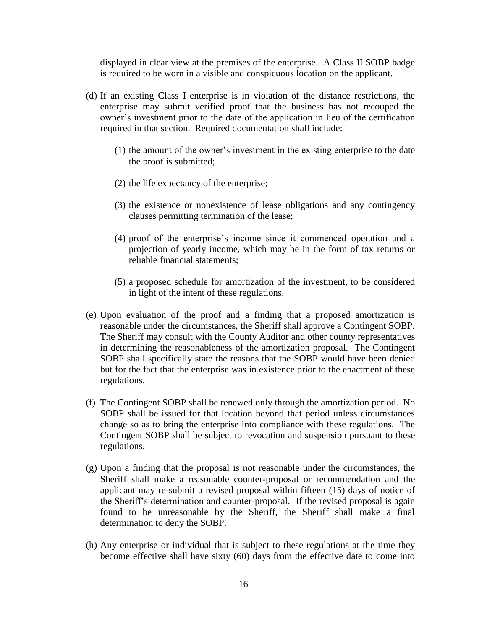displayed in clear view at the premises of the enterprise. A Class II SOBP badge is required to be worn in a visible and conspicuous location on the applicant.

- (d) If an existing Class I enterprise is in violation of the distance restrictions, the enterprise may submit verified proof that the business has not recouped the owner's investment prior to the date of the application in lieu of the certification required in that section. Required documentation shall include:
	- (1) the amount of the owner's investment in the existing enterprise to the date the proof is submitted;
	- (2) the life expectancy of the enterprise;
	- (3) the existence or nonexistence of lease obligations and any contingency clauses permitting termination of the lease;
	- (4) proof of the enterprise's income since it commenced operation and a projection of yearly income, which may be in the form of tax returns or reliable financial statements;
	- (5) a proposed schedule for amortization of the investment, to be considered in light of the intent of these regulations.
- (e) Upon evaluation of the proof and a finding that a proposed amortization is reasonable under the circumstances, the Sheriff shall approve a Contingent SOBP. The Sheriff may consult with the County Auditor and other county representatives in determining the reasonableness of the amortization proposal. The Contingent SOBP shall specifically state the reasons that the SOBP would have been denied but for the fact that the enterprise was in existence prior to the enactment of these regulations.
- (f) The Contingent SOBP shall be renewed only through the amortization period. No SOBP shall be issued for that location beyond that period unless circumstances change so as to bring the enterprise into compliance with these regulations. The Contingent SOBP shall be subject to revocation and suspension pursuant to these regulations.
- (g) Upon a finding that the proposal is not reasonable under the circumstances, the Sheriff shall make a reasonable counter-proposal or recommendation and the applicant may re-submit a revised proposal within fifteen (15) days of notice of the Sheriff's determination and counter-proposal. If the revised proposal is again found to be unreasonable by the Sheriff, the Sheriff shall make a final determination to deny the SOBP.
- (h) Any enterprise or individual that is subject to these regulations at the time they become effective shall have sixty (60) days from the effective date to come into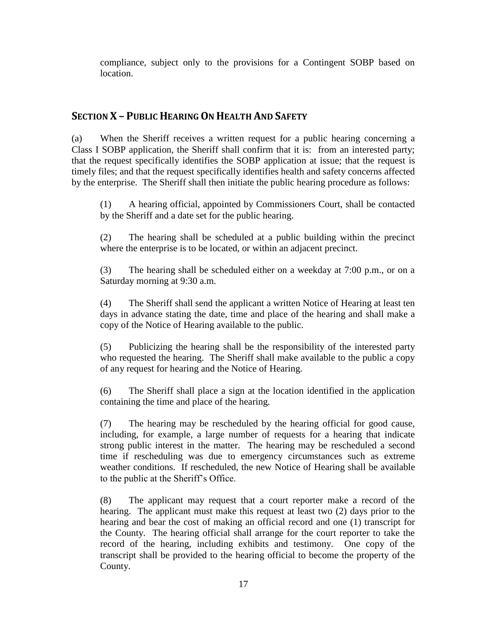compliance, subject only to the provisions for a Contingent SOBP based on location.

# **SECTION X – PUBLIC HEARING ON HEALTH AND SAFETY**

(a) When the Sheriff receives a written request for a public hearing concerning a Class I SOBP application, the Sheriff shall confirm that it is: from an interested party; that the request specifically identifies the SOBP application at issue; that the request is timely files; and that the request specifically identifies health and safety concerns affected by the enterprise. The Sheriff shall then initiate the public hearing procedure as follows:

(1) A hearing official, appointed by Commissioners Court, shall be contacted by the Sheriff and a date set for the public hearing.

(2) The hearing shall be scheduled at a public building within the precinct where the enterprise is to be located, or within an adjacent precinct.

(3) The hearing shall be scheduled either on a weekday at 7:00 p.m., or on a Saturday morning at 9:30 a.m.

(4) The Sheriff shall send the applicant a written Notice of Hearing at least ten days in advance stating the date, time and place of the hearing and shall make a copy of the Notice of Hearing available to the public.

(5) Publicizing the hearing shall be the responsibility of the interested party who requested the hearing. The Sheriff shall make available to the public a copy of any request for hearing and the Notice of Hearing.

(6) The Sheriff shall place a sign at the location identified in the application containing the time and place of the hearing.

(7) The hearing may be rescheduled by the hearing official for good cause, including, for example, a large number of requests for a hearing that indicate strong public interest in the matter. The hearing may be rescheduled a second time if rescheduling was due to emergency circumstances such as extreme weather conditions. If rescheduled, the new Notice of Hearing shall be available to the public at the Sheriff's Office.

(8) The applicant may request that a court reporter make a record of the hearing. The applicant must make this request at least two (2) days prior to the hearing and bear the cost of making an official record and one (1) transcript for the County. The hearing official shall arrange for the court reporter to take the record of the hearing, including exhibits and testimony. One copy of the transcript shall be provided to the hearing official to become the property of the County.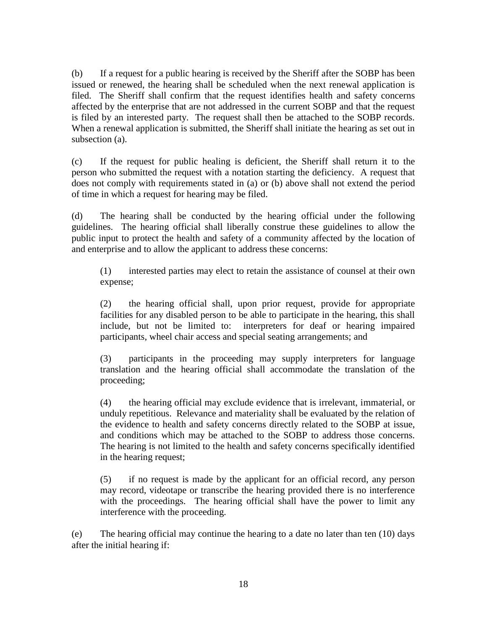(b) If a request for a public hearing is received by the Sheriff after the SOBP has been issued or renewed, the hearing shall be scheduled when the next renewal application is filed. The Sheriff shall confirm that the request identifies health and safety concerns affected by the enterprise that are not addressed in the current SOBP and that the request is filed by an interested party. The request shall then be attached to the SOBP records. When a renewal application is submitted, the Sheriff shall initiate the hearing as set out in subsection (a).

(c) If the request for public healing is deficient, the Sheriff shall return it to the person who submitted the request with a notation starting the deficiency. A request that does not comply with requirements stated in (a) or (b) above shall not extend the period of time in which a request for hearing may be filed.

(d) The hearing shall be conducted by the hearing official under the following guidelines. The hearing official shall liberally construe these guidelines to allow the public input to protect the health and safety of a community affected by the location of and enterprise and to allow the applicant to address these concerns:

(1) interested parties may elect to retain the assistance of counsel at their own expense;

(2) the hearing official shall, upon prior request, provide for appropriate facilities for any disabled person to be able to participate in the hearing, this shall include, but not be limited to: interpreters for deaf or hearing impaired participants, wheel chair access and special seating arrangements; and

(3) participants in the proceeding may supply interpreters for language translation and the hearing official shall accommodate the translation of the proceeding;

(4) the hearing official may exclude evidence that is irrelevant, immaterial, or unduly repetitious. Relevance and materiality shall be evaluated by the relation of the evidence to health and safety concerns directly related to the SOBP at issue, and conditions which may be attached to the SOBP to address those concerns. The hearing is not limited to the health and safety concerns specifically identified in the hearing request;

(5) if no request is made by the applicant for an official record, any person may record, videotape or transcribe the hearing provided there is no interference with the proceedings. The hearing official shall have the power to limit any interference with the proceeding.

(e) The hearing official may continue the hearing to a date no later than ten (10) days after the initial hearing if: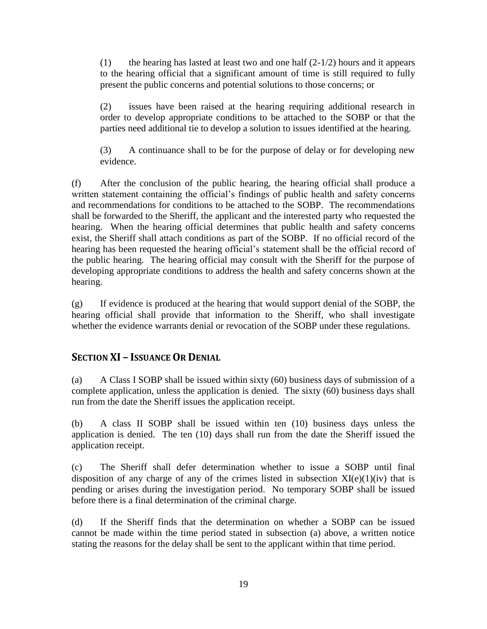(1) the hearing has lasted at least two and one half  $(2-1/2)$  hours and it appears to the hearing official that a significant amount of time is still required to fully present the public concerns and potential solutions to those concerns; or

(2) issues have been raised at the hearing requiring additional research in order to develop appropriate conditions to be attached to the SOBP or that the parties need additional tie to develop a solution to issues identified at the hearing.

(3) A continuance shall to be for the purpose of delay or for developing new evidence.

(f) After the conclusion of the public hearing, the hearing official shall produce a written statement containing the official's findings of public health and safety concerns and recommendations for conditions to be attached to the SOBP. The recommendations shall be forwarded to the Sheriff, the applicant and the interested party who requested the hearing. When the hearing official determines that public health and safety concerns exist, the Sheriff shall attach conditions as part of the SOBP. If no official record of the hearing has been requested the hearing official's statement shall be the official record of the public hearing. The hearing official may consult with the Sheriff for the purpose of developing appropriate conditions to address the health and safety concerns shown at the hearing.

(g) If evidence is produced at the hearing that would support denial of the SOBP, the hearing official shall provide that information to the Sheriff, who shall investigate whether the evidence warrants denial or revocation of the SOBP under these regulations.

# **SECTION XI – ISSUANCE OR DENIAL**

(a) A Class I SOBP shall be issued within sixty (60) business days of submission of a complete application, unless the application is denied. The sixty (60) business days shall run from the date the Sheriff issues the application receipt.

(b) A class II SOBP shall be issued within ten (10) business days unless the application is denied. The ten (10) days shall run from the date the Sheriff issued the application receipt.

(c) The Sheriff shall defer determination whether to issue a SOBP until final disposition of any charge of any of the crimes listed in subsection  $XI(e)(1)(iv)$  that is pending or arises during the investigation period. No temporary SOBP shall be issued before there is a final determination of the criminal charge.

(d) If the Sheriff finds that the determination on whether a SOBP can be issued cannot be made within the time period stated in subsection (a) above, a written notice stating the reasons for the delay shall be sent to the applicant within that time period.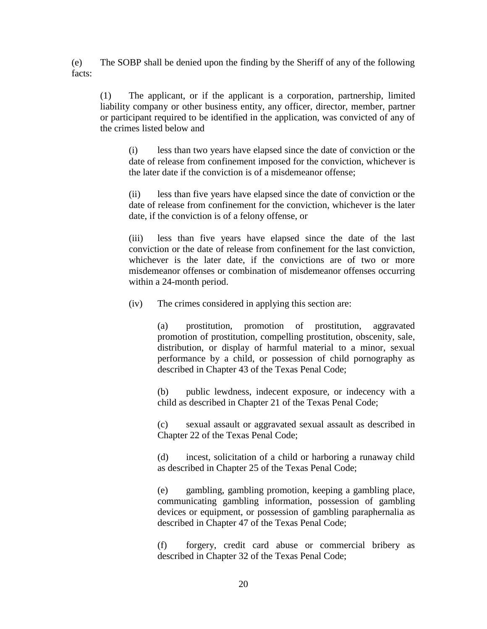(e) The SOBP shall be denied upon the finding by the Sheriff of any of the following facts:

(1) The applicant, or if the applicant is a corporation, partnership, limited liability company or other business entity, any officer, director, member, partner or participant required to be identified in the application, was convicted of any of the crimes listed below and

(i) less than two years have elapsed since the date of conviction or the date of release from confinement imposed for the conviction, whichever is the later date if the conviction is of a misdemeanor offense;

(ii) less than five years have elapsed since the date of conviction or the date of release from confinement for the conviction, whichever is the later date, if the conviction is of a felony offense, or

(iii) less than five years have elapsed since the date of the last conviction or the date of release from confinement for the last conviction, whichever is the later date, if the convictions are of two or more misdemeanor offenses or combination of misdemeanor offenses occurring within a 24-month period.

(iv) The crimes considered in applying this section are:

(a) prostitution, promotion of prostitution, aggravated promotion of prostitution, compelling prostitution, obscenity, sale, distribution, or display of harmful material to a minor, sexual performance by a child, or possession of child pornography as described in Chapter 43 of the Texas Penal Code;

(b) public lewdness, indecent exposure, or indecency with a child as described in Chapter 21 of the Texas Penal Code;

(c) sexual assault or aggravated sexual assault as described in Chapter 22 of the Texas Penal Code;

(d) incest, solicitation of a child or harboring a runaway child as described in Chapter 25 of the Texas Penal Code;

(e) gambling, gambling promotion, keeping a gambling place, communicating gambling information, possession of gambling devices or equipment, or possession of gambling paraphernalia as described in Chapter 47 of the Texas Penal Code;

(f) forgery, credit card abuse or commercial bribery as described in Chapter 32 of the Texas Penal Code;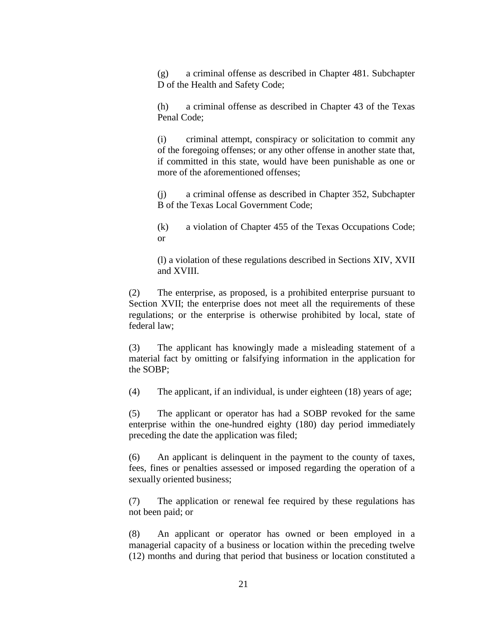(g) a criminal offense as described in Chapter 481. Subchapter D of the Health and Safety Code;

(h) a criminal offense as described in Chapter 43 of the Texas Penal Code;

(i) criminal attempt, conspiracy or solicitation to commit any of the foregoing offenses; or any other offense in another state that, if committed in this state, would have been punishable as one or more of the aforementioned offenses:

(j) a criminal offense as described in Chapter 352, Subchapter B of the Texas Local Government Code;

(k) a violation of Chapter 455 of the Texas Occupations Code; or

(l) a violation of these regulations described in Sections XIV, XVII and XVIII.

(2) The enterprise, as proposed, is a prohibited enterprise pursuant to Section XVII; the enterprise does not meet all the requirements of these regulations; or the enterprise is otherwise prohibited by local, state of federal law;

(3) The applicant has knowingly made a misleading statement of a material fact by omitting or falsifying information in the application for the SOBP;

(4) The applicant, if an individual, is under eighteen (18) years of age;

(5) The applicant or operator has had a SOBP revoked for the same enterprise within the one-hundred eighty (180) day period immediately preceding the date the application was filed;

(6) An applicant is delinquent in the payment to the county of taxes, fees, fines or penalties assessed or imposed regarding the operation of a sexually oriented business;

(7) The application or renewal fee required by these regulations has not been paid; or

(8) An applicant or operator has owned or been employed in a managerial capacity of a business or location within the preceding twelve (12) months and during that period that business or location constituted a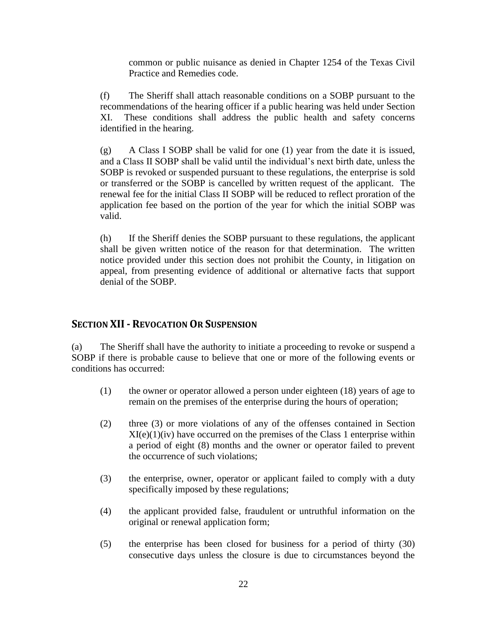common or public nuisance as denied in Chapter 1254 of the Texas Civil Practice and Remedies code.

(f) The Sheriff shall attach reasonable conditions on a SOBP pursuant to the recommendations of the hearing officer if a public hearing was held under Section XI. These conditions shall address the public health and safety concerns identified in the hearing.

 $(g)$  A Class I SOBP shall be valid for one (1) year from the date it is issued, and a Class II SOBP shall be valid until the individual's next birth date, unless the SOBP is revoked or suspended pursuant to these regulations, the enterprise is sold or transferred or the SOBP is cancelled by written request of the applicant. The renewal fee for the initial Class II SOBP will be reduced to reflect proration of the application fee based on the portion of the year for which the initial SOBP was valid.

(h) If the Sheriff denies the SOBP pursuant to these regulations, the applicant shall be given written notice of the reason for that determination. The written notice provided under this section does not prohibit the County, in litigation on appeal, from presenting evidence of additional or alternative facts that support denial of the SOBP.

## **SECTION XII- REVOCATION OR SUSPENSION**

(a) The Sheriff shall have the authority to initiate a proceeding to revoke or suspend a SOBP if there is probable cause to believe that one or more of the following events or conditions has occurred:

- (1) the owner or operator allowed a person under eighteen (18) years of age to remain on the premises of the enterprise during the hours of operation;
- (2) three (3) or more violations of any of the offenses contained in Section  $XI(e)(1)(iv)$  have occurred on the premises of the Class 1 enterprise within a period of eight (8) months and the owner or operator failed to prevent the occurrence of such violations;
- (3) the enterprise, owner, operator or applicant failed to comply with a duty specifically imposed by these regulations;
- (4) the applicant provided false, fraudulent or untruthful information on the original or renewal application form;
- (5) the enterprise has been closed for business for a period of thirty (30) consecutive days unless the closure is due to circumstances beyond the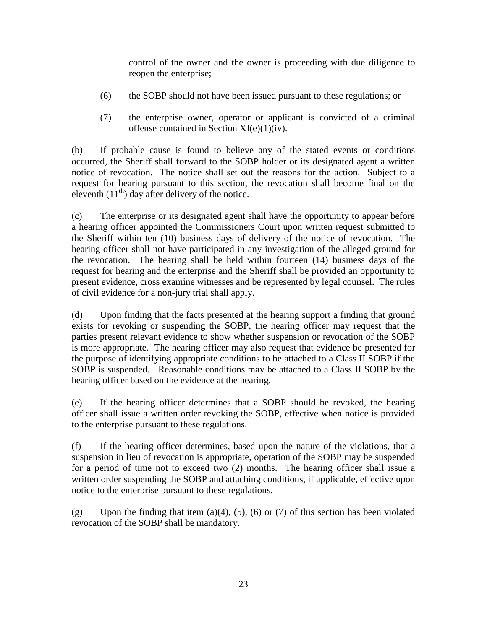control of the owner and the owner is proceeding with due diligence to reopen the enterprise;

- (6) the SOBP should not have been issued pursuant to these regulations; or
- (7) the enterprise owner, operator or applicant is convicted of a criminal offense contained in Section XI(e)(1)(iv).

(b) If probable cause is found to believe any of the stated events or conditions occurred, the Sheriff shall forward to the SOBP holder or its designated agent a written notice of revocation. The notice shall set out the reasons for the action. Subject to a request for hearing pursuant to this section, the revocation shall become final on the eleventh  $(11<sup>th</sup>)$  day after delivery of the notice.

(c) The enterprise or its designated agent shall have the opportunity to appear before a hearing officer appointed the Commissioners Court upon written request submitted to the Sheriff within ten (10) business days of delivery of the notice of revocation. The hearing officer shall not have participated in any investigation of the alleged ground for the revocation. The hearing shall be held within fourteen (14) business days of the request for hearing and the enterprise and the Sheriff shall be provided an opportunity to present evidence, cross examine witnesses and be represented by legal counsel. The rules of civil evidence for a non-jury trial shall apply.

(d) Upon finding that the facts presented at the hearing support a finding that ground exists for revoking or suspending the SOBP, the hearing officer may request that the parties present relevant evidence to show whether suspension or revocation of the SOBP is more appropriate. The hearing officer may also request that evidence be presented for the purpose of identifying appropriate conditions to be attached to a Class II SOBP if the SOBP is suspended. Reasonable conditions may be attached to a Class II SOBP by the hearing officer based on the evidence at the hearing.

(e) If the hearing officer determines that a SOBP should be revoked, the hearing officer shall issue a written order revoking the SOBP, effective when notice is provided to the enterprise pursuant to these regulations.

(f) If the hearing officer determines, based upon the nature of the violations, that a suspension in lieu of revocation is appropriate, operation of the SOBP may be suspended for a period of time not to exceed two (2) months. The hearing officer shall issue a written order suspending the SOBP and attaching conditions, if applicable, effective upon notice to the enterprise pursuant to these regulations.

(g) Upon the finding that item (a)(4), (5), (6) or (7) of this section has been violated revocation of the SOBP shall be mandatory.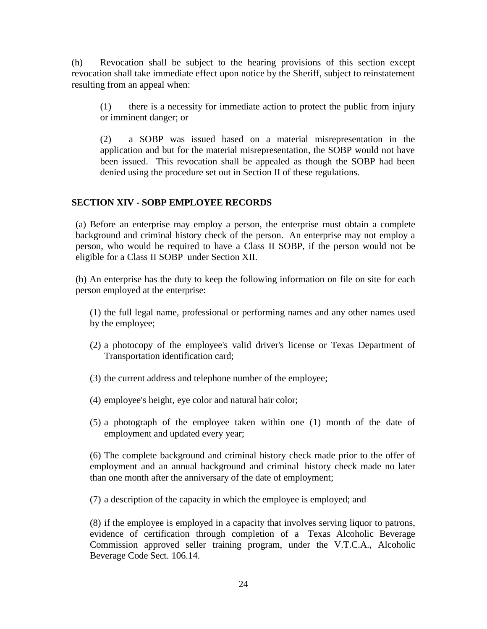(h) Revocation shall be subject to the hearing provisions of this section except revocation shall take immediate effect upon notice by the Sheriff, subject to reinstatement resulting from an appeal when:

(1) there is a necessity for immediate action to protect the public from injury or imminent danger; or

(2) a SOBP was issued based on a material misrepresentation in the application and but for the material misrepresentation, the SOBP would not have been issued. This revocation shall be appealed as though the SOBP had been denied using the procedure set out in Section II of these regulations.

#### **SECTION XIV - SOBP EMPLOYEE RECORDS**

(a) Before an enterprise may employ a person, the enterprise must obtain a complete background and criminal history check of the person. An enterprise may not employ a person, who would be required to have a Class II SOBP, if the person would not be eligible for a Class II SOBP under Section XII.

(b) An enterprise has the duty to keep the following information on file on site for each person employed at the enterprise:

- (1) the full legal name, professional or performing names and any other names used by the employee;
- (2) a photocopy of the employee's valid driver's license or Texas Department of Transportation identification card;
- (3) the current address and telephone number of the employee;
- (4) employee's height, eye color and natural hair color;
- (5) a photograph of the employee taken within one (1) month of the date of employment and updated every year;

(6) The complete background and criminal history check made prior to the offer of employment and an annual background and criminal history check made no later than one month after the anniversary of the date of employment;

(7) a description of the capacity in which the employee is employed; and

(8) if the employee is employed in a capacity that involves serving liquor to patrons, evidence of certification through completion of a Texas Alcoholic Beverage Commission approved seller training program, under the V.T.C.A., Alcoholic Beverage Code Sect. 106.14.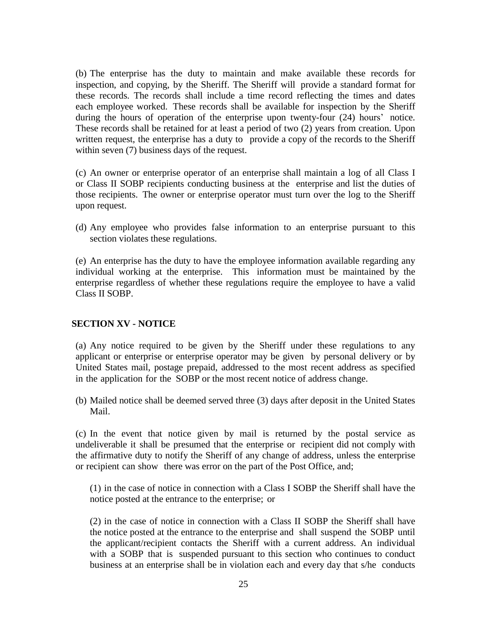(b) The enterprise has the duty to maintain and make available these records for inspection, and copying, by the Sheriff. The Sheriff will provide a standard format for these records. The records shall include a time record reflecting the times and dates each employee worked. These records shall be available for inspection by the Sheriff during the hours of operation of the enterprise upon twenty-four (24) hours' notice. These records shall be retained for at least a period of two (2) years from creation. Upon written request, the enterprise has a duty to provide a copy of the records to the Sheriff within seven (7) business days of the request.

(c) An owner or enterprise operator of an enterprise shall maintain a log of all Class I or Class II SOBP recipients conducting business at the enterprise and list the duties of those recipients. The owner or enterprise operator must turn over the log to the Sheriff upon request.

(d) Any employee who provides false information to an enterprise pursuant to this section violates these regulations.

(e) An enterprise has the duty to have the employee information available regarding any individual working at the enterprise. This information must be maintained by the enterprise regardless of whether these regulations require the employee to have a valid Class II SOBP.

#### **SECTION XV - NOTICE**

(a) Any notice required to be given by the Sheriff under these regulations to any applicant or enterprise or enterprise operator may be given by personal delivery or by United States mail, postage prepaid, addressed to the most recent address as specified in the application for the SOBP or the most recent notice of address change.

(b) Mailed notice shall be deemed served three (3) days after deposit in the United States Mail.

(c) In the event that notice given by mail is returned by the postal service as undeliverable it shall be presumed that the enterprise or recipient did not comply with the affirmative duty to notify the Sheriff of any change of address, unless the enterprise or recipient can show there was error on the part of the Post Office, and;

(1) in the case of notice in connection with a Class I SOBP the Sheriff shall have the notice posted at the entrance to the enterprise; or

(2) in the case of notice in connection with a Class II SOBP the Sheriff shall have the notice posted at the entrance to the enterprise and shall suspend the SOBP until the applicant/recipient contacts the Sheriff with a current address. An individual with a SOBP that is suspended pursuant to this section who continues to conduct business at an enterprise shall be in violation each and every day that s/he conducts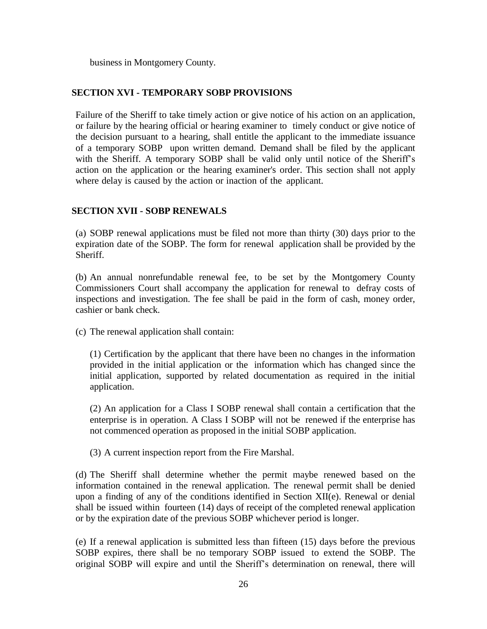business in Montgomery County.

### **SECTION XVI - TEMPORARY SOBP PROVISIONS**

Failure of the Sheriff to take timely action or give notice of his action on an application, or failure by the hearing official or hearing examiner to timely conduct or give notice of the decision pursuant to a hearing, shall entitle the applicant to the immediate issuance of a temporary SOBP upon written demand. Demand shall be filed by the applicant with the Sheriff. A temporary SOBP shall be valid only until notice of the Sheriff's action on the application or the hearing examiner's order. This section shall not apply where delay is caused by the action or inaction of the applicant.

### **SECTION XVII - SOBP RENEWALS**

(a) SOBP renewal applications must be filed not more than thirty (30) days prior to the expiration date of the SOBP. The form for renewal application shall be provided by the Sheriff.

(b) An annual nonrefundable renewal fee, to be set by the Montgomery County Commissioners Court shall accompany the application for renewal to defray costs of inspections and investigation. The fee shall be paid in the form of cash, money order, cashier or bank check.

(c) The renewal application shall contain:

(1) Certification by the applicant that there have been no changes in the information provided in the initial application or the information which has changed since the initial application, supported by related documentation as required in the initial application.

(2) An application for a Class I SOBP renewal shall contain a certification that the enterprise is in operation. A Class I SOBP will not be renewed if the enterprise has not commenced operation as proposed in the initial SOBP application.

(3) A current inspection report from the Fire Marshal.

(d) The Sheriff shall determine whether the permit maybe renewed based on the information contained in the renewal application. The renewal permit shall be denied upon a finding of any of the conditions identified in Section XII(e). Renewal or denial shall be issued within fourteen (14) days of receipt of the completed renewal application or by the expiration date of the previous SOBP whichever period is longer.

(e) If a renewal application is submitted less than fifteen (15) days before the previous SOBP expires, there shall be no temporary SOBP issued to extend the SOBP. The original SOBP will expire and until the Sheriff's determination on renewal, there will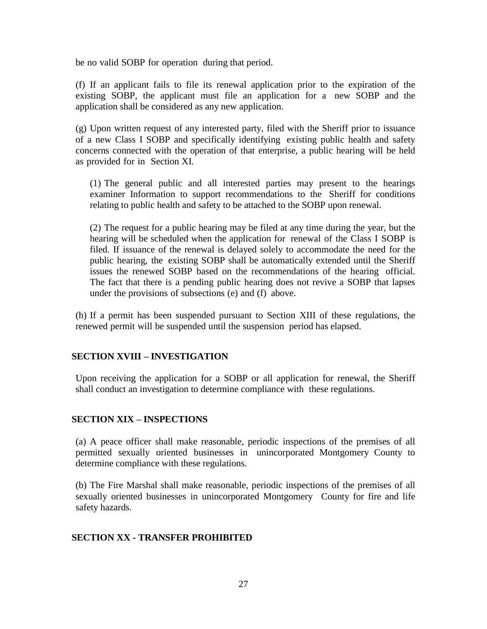be no valid SOBP for operation during that period.

(f) If an applicant fails to file its renewal application prior to the expiration of the existing SOBP, the applicant must file an application for a new SOBP and the application shall be considered as any new application.

(g) Upon written request of any interested party, filed with the Sheriff prior to issuance of a new Class I SOBP and specifically identifying existing public health and safety concerns connected with the operation of that enterprise, a public hearing will be held as provided for in Section XI.

(1) The general public and all interested parties may present to the hearings examiner Information to support recommendations to the Sheriff for conditions relating to public health and safety to be attached to the SOBP upon renewal.

(2) The request for a public hearing may be filed at any time during the year, but the hearing will be scheduled when the application for renewal of the Class I SOBP is filed. If issuance of the renewal is delayed solely to accommodate the need for the public hearing, the existing SOBP shall be automatically extended until the Sheriff issues the renewed SOBP based on the recommendations of the hearing official. The fact that there is a pending public hearing does not revive a SOBP that lapses under the provisions of subsections (e) and (f) above.

(h) If a permit has been suspended pursuant to Section XIII of these regulations, the renewed permit will be suspended until the suspension period has elapsed.

#### **SECTION XVIII – INVESTIGATION**

Upon receiving the application for a SOBP or all application for renewal, the Sheriff shall conduct an investigation to determine compliance with these regulations.

#### **SECTION XIX – INSPECTIONS**

(a) A peace officer shall make reasonable, periodic inspections of the premises of all permitted sexually oriented businesses in unincorporated Montgomery County to determine compliance with these regulations.

(b) The Fire Marshal shall make reasonable, periodic inspections of the premises of all sexually oriented businesses in unincorporated Montgomery County for fire and life safety hazards.

### **SECTION XX - TRANSFER PROHIBITED**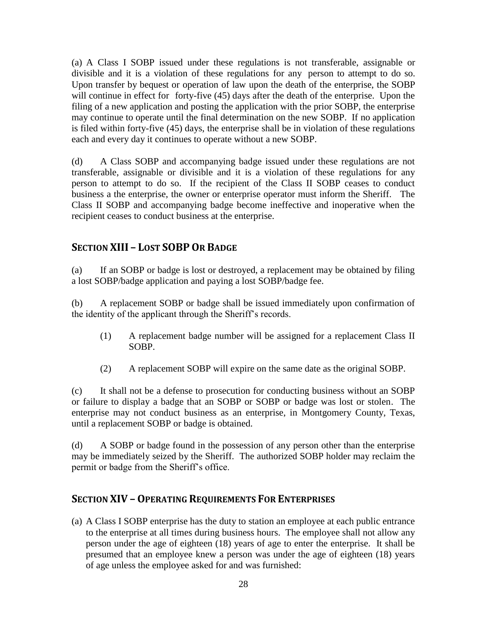(a) A Class I SOBP issued under these regulations is not transferable, assignable or divisible and it is a violation of these regulations for any person to attempt to do so. Upon transfer by bequest or operation of law upon the death of the enterprise, the SOBP will continue in effect for forty-five (45) days after the death of the enterprise. Upon the filing of a new application and posting the application with the prior SOBP, the enterprise may continue to operate until the final determination on the new SOBP. If no application is filed within forty-five (45) days, the enterprise shall be in violation of these regulations each and every day it continues to operate without a new SOBP.

(d) A Class SOBP and accompanying badge issued under these regulations are not transferable, assignable or divisible and it is a violation of these regulations for any person to attempt to do so. If the recipient of the Class II SOBP ceases to conduct business a the enterprise, the owner or enterprise operator must inform the Sheriff. The Class II SOBP and accompanying badge become ineffective and inoperative when the recipient ceases to conduct business at the enterprise.

# **SECTION XIII – LOST SOBPOR BADGE**

(a) If an SOBP or badge is lost or destroyed, a replacement may be obtained by filing a lost SOBP/badge application and paying a lost SOBP/badge fee.

(b) A replacement SOBP or badge shall be issued immediately upon confirmation of the identity of the applicant through the Sheriff's records.

- (1) A replacement badge number will be assigned for a replacement Class II SOBP.
- (2) A replacement SOBP will expire on the same date as the original SOBP.

(c) It shall not be a defense to prosecution for conducting business without an SOBP or failure to display a badge that an SOBP or SOBP or badge was lost or stolen. The enterprise may not conduct business as an enterprise, in Montgomery County, Texas, until a replacement SOBP or badge is obtained.

(d) A SOBP or badge found in the possession of any person other than the enterprise may be immediately seized by the Sheriff. The authorized SOBP holder may reclaim the permit or badge from the Sheriff's office.

## **SECTION XIV – OPERATING REQUIREMENTS FOR ENTERPRISES**

(a) A Class I SOBP enterprise has the duty to station an employee at each public entrance to the enterprise at all times during business hours. The employee shall not allow any person under the age of eighteen (18) years of age to enter the enterprise. It shall be presumed that an employee knew a person was under the age of eighteen (18) years of age unless the employee asked for and was furnished: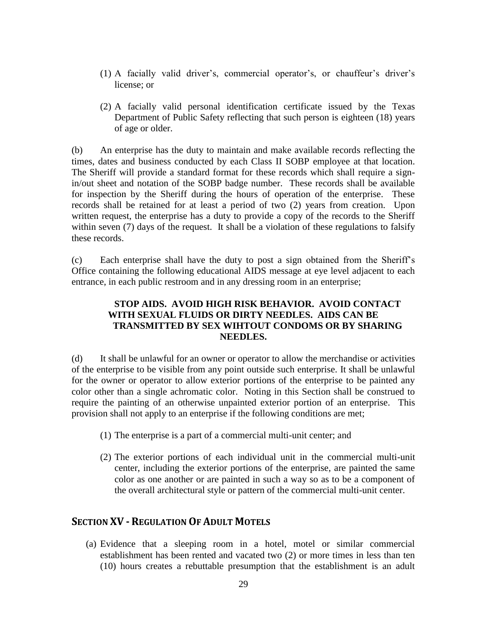- (1) A facially valid driver's, commercial operator's, or chauffeur's driver's license; or
- (2) A facially valid personal identification certificate issued by the Texas Department of Public Safety reflecting that such person is eighteen (18) years of age or older.

(b) An enterprise has the duty to maintain and make available records reflecting the times, dates and business conducted by each Class II SOBP employee at that location. The Sheriff will provide a standard format for these records which shall require a signin/out sheet and notation of the SOBP badge number. These records shall be available for inspection by the Sheriff during the hours of operation of the enterprise. These records shall be retained for at least a period of two (2) years from creation. Upon written request, the enterprise has a duty to provide a copy of the records to the Sheriff within seven (7) days of the request. It shall be a violation of these regulations to falsify these records.

(c) Each enterprise shall have the duty to post a sign obtained from the Sheriff's Office containing the following educational AIDS message at eye level adjacent to each entrance, in each public restroom and in any dressing room in an enterprise;

### **STOP AIDS. AVOID HIGH RISK BEHAVIOR. AVOID CONTACT WITH SEXUAL FLUIDS OR DIRTY NEEDLES. AIDS CAN BE TRANSMITTED BY SEX WIHTOUT CONDOMS OR BY SHARING NEEDLES.**

(d) It shall be unlawful for an owner or operator to allow the merchandise or activities of the enterprise to be visible from any point outside such enterprise. It shall be unlawful for the owner or operator to allow exterior portions of the enterprise to be painted any color other than a single achromatic color. Noting in this Section shall be construed to require the painting of an otherwise unpainted exterior portion of an enterprise. This provision shall not apply to an enterprise if the following conditions are met;

- (1) The enterprise is a part of a commercial multi-unit center; and
- (2) The exterior portions of each individual unit in the commercial multi-unit center, including the exterior portions of the enterprise, are painted the same color as one another or are painted in such a way so as to be a component of the overall architectural style or pattern of the commercial multi-unit center.

### **SECTION XV - REGULATION OF ADULT MOTELS**

(a) Evidence that a sleeping room in a hotel, motel or similar commercial establishment has been rented and vacated two (2) or more times in less than ten (10) hours creates a rebuttable presumption that the establishment is an adult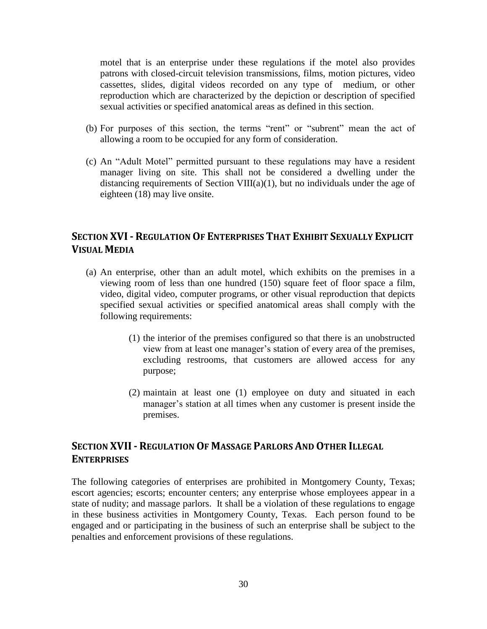motel that is an enterprise under these regulations if the motel also provides patrons with closed-circuit television transmissions, films, motion pictures, video cassettes, slides, digital videos recorded on any type of medium, or other reproduction which are characterized by the depiction or description of specified sexual activities or specified anatomical areas as defined in this section.

- (b) For purposes of this section, the terms "rent" or "subrent" mean the act of allowing a room to be occupied for any form of consideration.
- (c) An "Adult Motel" permitted pursuant to these regulations may have a resident manager living on site. This shall not be considered a dwelling under the distancing requirements of Section VIII( $a$ )(1), but no individuals under the age of eighteen (18) may live onsite.

# **SECTION XVI- REGULATION OF ENTERPRISES THAT EXHIBIT SEXUALLY EXPLICIT VISUAL MEDIA**

- (a) An enterprise, other than an adult motel, which exhibits on the premises in a viewing room of less than one hundred (150) square feet of floor space a film, video, digital video, computer programs, or other visual reproduction that depicts specified sexual activities or specified anatomical areas shall comply with the following requirements:
	- (1) the interior of the premises configured so that there is an unobstructed view from at least one manager's station of every area of the premises, excluding restrooms, that customers are allowed access for any purpose;
	- (2) maintain at least one (1) employee on duty and situated in each manager's station at all times when any customer is present inside the premises.

# **SECTION XVII- REGULATION OF MASSAGE PARLORS AND OTHER ILLEGAL ENTERPRISES**

The following categories of enterprises are prohibited in Montgomery County, Texas; escort agencies; escorts; encounter centers; any enterprise whose employees appear in a state of nudity; and massage parlors. It shall be a violation of these regulations to engage in these business activities in Montgomery County, Texas. Each person found to be engaged and or participating in the business of such an enterprise shall be subject to the penalties and enforcement provisions of these regulations.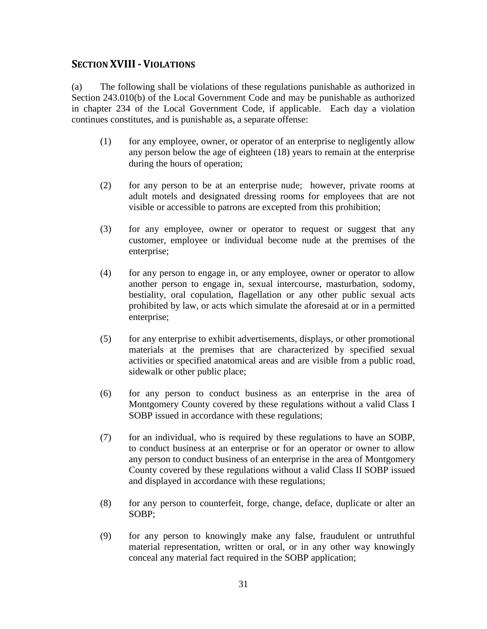## **SECTION XVIII- VIOLATIONS**

(a) The following shall be violations of these regulations punishable as authorized in Section 243.010(b) of the Local Government Code and may be punishable as authorized in chapter 234 of the Local Government Code, if applicable. Each day a violation continues constitutes, and is punishable as, a separate offense:

- (1) for any employee, owner, or operator of an enterprise to negligently allow any person below the age of eighteen (18) years to remain at the enterprise during the hours of operation;
- (2) for any person to be at an enterprise nude; however, private rooms at adult motels and designated dressing rooms for employees that are not visible or accessible to patrons are excepted from this prohibition;
- (3) for any employee, owner or operator to request or suggest that any customer, employee or individual become nude at the premises of the enterprise;
- (4) for any person to engage in, or any employee, owner or operator to allow another person to engage in, sexual intercourse, masturbation, sodomy, bestiality, oral copulation, flagellation or any other public sexual acts prohibited by law, or acts which simulate the aforesaid at or in a permitted enterprise;
- (5) for any enterprise to exhibit advertisements, displays, or other promotional materials at the premises that are characterized by specified sexual activities or specified anatomical areas and are visible from a public road, sidewalk or other public place;
- (6) for any person to conduct business as an enterprise in the area of Montgomery County covered by these regulations without a valid Class I SOBP issued in accordance with these regulations;
- (7) for an individual, who is required by these regulations to have an SOBP, to conduct business at an enterprise or for an operator or owner to allow any person to conduct business of an enterprise in the area of Montgomery County covered by these regulations without a valid Class II SOBP issued and displayed in accordance with these regulations;
- (8) for any person to counterfeit, forge, change, deface, duplicate or alter an SOBP;
- (9) for any person to knowingly make any false, fraudulent or untruthful material representation, written or oral, or in any other way knowingly conceal any material fact required in the SOBP application;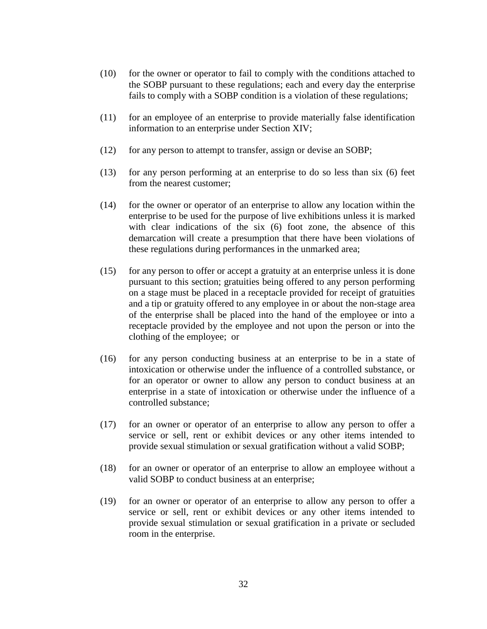- (10) for the owner or operator to fail to comply with the conditions attached to the SOBP pursuant to these regulations; each and every day the enterprise fails to comply with a SOBP condition is a violation of these regulations;
- (11) for an employee of an enterprise to provide materially false identification information to an enterprise under Section XIV;
- (12) for any person to attempt to transfer, assign or devise an SOBP;
- (13) for any person performing at an enterprise to do so less than six (6) feet from the nearest customer;
- (14) for the owner or operator of an enterprise to allow any location within the enterprise to be used for the purpose of live exhibitions unless it is marked with clear indications of the six (6) foot zone, the absence of this demarcation will create a presumption that there have been violations of these regulations during performances in the unmarked area;
- (15) for any person to offer or accept a gratuity at an enterprise unless it is done pursuant to this section; gratuities being offered to any person performing on a stage must be placed in a receptacle provided for receipt of gratuities and a tip or gratuity offered to any employee in or about the non-stage area of the enterprise shall be placed into the hand of the employee or into a receptacle provided by the employee and not upon the person or into the clothing of the employee; or
- (16) for any person conducting business at an enterprise to be in a state of intoxication or otherwise under the influence of a controlled substance, or for an operator or owner to allow any person to conduct business at an enterprise in a state of intoxication or otherwise under the influence of a controlled substance;
- (17) for an owner or operator of an enterprise to allow any person to offer a service or sell, rent or exhibit devices or any other items intended to provide sexual stimulation or sexual gratification without a valid SOBP;
- (18) for an owner or operator of an enterprise to allow an employee without a valid SOBP to conduct business at an enterprise;
- (19) for an owner or operator of an enterprise to allow any person to offer a service or sell, rent or exhibit devices or any other items intended to provide sexual stimulation or sexual gratification in a private or secluded room in the enterprise.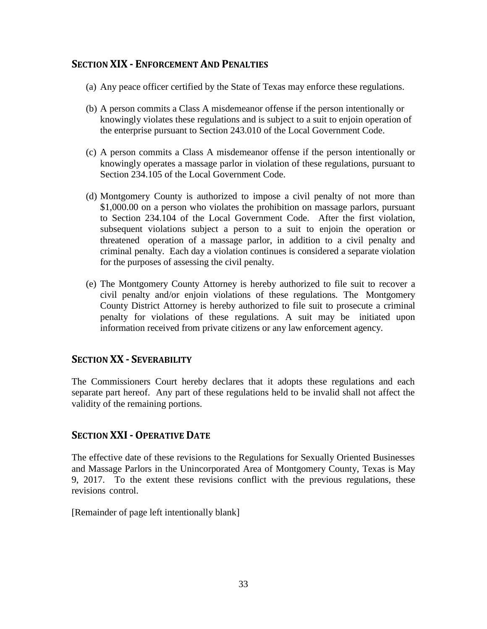## **SECTION XIX - ENFORCEMENT AND PENALTIES**

- (a) Any peace officer certified by the State of Texas may enforce these regulations.
- (b) A person commits a Class A misdemeanor offense if the person intentionally or knowingly violates these regulations and is subject to a suit to enjoin operation of the enterprise pursuant to Section 243.010 of the Local Government Code.
- (c) A person commits a Class A misdemeanor offense if the person intentionally or knowingly operates a massage parlor in violation of these regulations, pursuant to Section 234.105 of the Local Government Code.
- (d) Montgomery County is authorized to impose a civil penalty of not more than \$1,000.00 on a person who violates the prohibition on massage parlors, pursuant to Section 234.104 of the Local Government Code. After the first violation, subsequent violations subject a person to a suit to enjoin the operation or threatened operation of a massage parlor, in addition to a civil penalty and criminal penalty. Each day a violation continues is considered a separate violation for the purposes of assessing the civil penalty.
- (e) The Montgomery County Attorney is hereby authorized to file suit to recover a civil penalty and/or enjoin violations of these regulations. The Montgomery County District Attorney is hereby authorized to file suit to prosecute a criminal penalty for violations of these regulations. A suit may be initiated upon information received from private citizens or any law enforcement agency.

## **SECTION XX - SEVERABILITY**

The Commissioners Court hereby declares that it adopts these regulations and each separate part hereof. Any part of these regulations held to be invalid shall not affect the validity of the remaining portions.

## **SECTION XXI-OPERATIVE DATE**

The effective date of these revisions to the Regulations for Sexually Oriented Businesses and Massage Parlors in the Unincorporated Area of Montgomery County, Texas is May 9, 2017. To the extent these revisions conflict with the previous regulations, these revisions control.

[Remainder of page left intentionally blank]